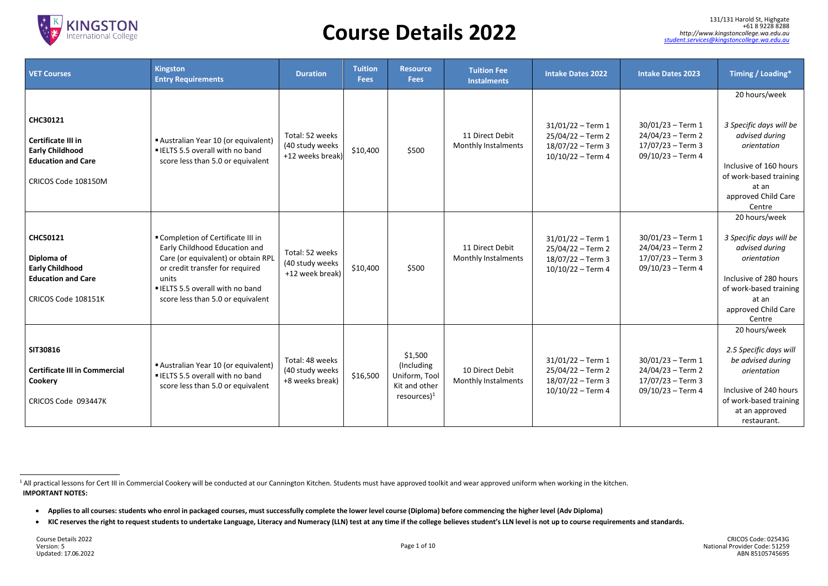

| <b>VET Courses</b>                                                                                                  | <b>Kingston</b><br><b>Entry Requirements</b>                                                                                                                                                                                       | <b>Duration</b>                                        | <b>Tuition</b><br><b>Fees</b> | <b>Resource</b><br><b>Fees</b>                                            | <b>Tuition Fee</b><br><b>Instalments</b>      | <b>Intake Dates 2022</b>                                                                |
|---------------------------------------------------------------------------------------------------------------------|------------------------------------------------------------------------------------------------------------------------------------------------------------------------------------------------------------------------------------|--------------------------------------------------------|-------------------------------|---------------------------------------------------------------------------|-----------------------------------------------|-----------------------------------------------------------------------------------------|
| <b>CHC30121</b><br>Certificate III in<br><b>Early Childhood</b><br><b>Education and Care</b><br>CRICOS Code 108150M | Australian Year 10 (or equivalent)<br>" IELTS 5.5 overall with no band<br>score less than 5.0 or equivalent                                                                                                                        | Total: 52 weeks<br>(40 study weeks<br>+12 weeks break) | \$10,400                      | \$500                                                                     | 11 Direct Debit<br>Monthly Instalments        | $31/01/22 - Term 1$<br>25/04/22 - Term 2<br>$18/07/22 - Term3$<br>$10/10/22 - Term 4$   |
| <b>CHC50121</b><br>Diploma of<br><b>Early Childhood</b><br><b>Education and Care</b><br>CRICOS Code 108151K         | " Completion of Certificate III in<br>Early Childhood Education and<br>Care (or equivalent) or obtain RPL<br>or credit transfer for required<br>units<br><b>ELTS 5.5 overall with no band</b><br>score less than 5.0 or equivalent | Total: 52 weeks<br>(40 study weeks<br>+12 week break)  | \$10,400                      | \$500                                                                     | 11 Direct Debit<br>Monthly Instalments        | $31/01/22 - Term 1$<br>$25/04/22 - Term 2$<br>$18/07/22 - Term3$<br>$10/10/22 - Term 4$ |
| SIT30816<br><b>Certificate III in Commercial</b><br>Cookery<br>CRICOS Code 093447K                                  | Australian Year 10 (or equivalent)<br><b>ELTS 5.5 overall with no band</b><br>score less than 5.0 or equivalent                                                                                                                    | Total: 48 weeks<br>(40 study weeks<br>+8 weeks break)  | \$16,500                      | \$1,500<br>(Including<br>Uniform, Tool<br>Kit and other<br>$resources)^1$ | 10 Direct Debit<br><b>Monthly Instalments</b> | $31/01/22 - Term 1$<br>25/04/22 – Term 2<br>18/07/22 - Term 3<br>$10/10/22 - Term 4$    |

| <b>Intake Dates 2022</b>                                                             | <b>Intake Dates 2023</b>                                                           | Timing / Loading*                                                                                                                               |
|--------------------------------------------------------------------------------------|------------------------------------------------------------------------------------|-------------------------------------------------------------------------------------------------------------------------------------------------|
|                                                                                      |                                                                                    | 20 hours/week                                                                                                                                   |
| $31/01/22 - Term 1$<br>25/04/22 - Term 2<br>18/07/22 - Term 3<br>10/10/22 - Term 4   | $30/01/23 - Term 1$<br>24/04/23 - Term 2<br>17/07/23 - Term 3<br>09/10/23 - Term 4 | 3 Specific days will be<br>advised during<br>orientation                                                                                        |
|                                                                                      |                                                                                    | Inclusive of 160 hours<br>of work-based training<br>at an<br>approved Child Care<br>Centre                                                      |
|                                                                                      |                                                                                    | 20 hours/week                                                                                                                                   |
| $31/01/22 - Term 1$<br>25/04/22 - Term 2<br>18/07/22 - Term 3<br>10/10/22 - Term 4   | 30/01/23 – Term 1<br>24/04/23 - Term 2<br>17/07/23 - Term 3<br>09/10/23 - Term 4   | 3 Specific days will be<br>advised during<br>orientation<br>Inclusive of 280 hours                                                              |
|                                                                                      |                                                                                    | of work-based training<br>at an<br>approved Child Care<br>Centre                                                                                |
|                                                                                      |                                                                                    | 20 hours/week                                                                                                                                   |
| $31/01/22 - Term 1$<br>25/04/22 - Term 2<br>18/07/22 - Term 3<br>$10/10/22 - Term 4$ | $30/01/23 - Term 1$<br>24/04/23 - Term 2<br>17/07/23 - Term 3<br>09/10/23 - Term 4 | 2.5 Specific days will<br>be advised during<br>orientation<br>Inclusive of 240 hours<br>of work-based training<br>at an approved<br>restaurant. |

**IMPORTANT NOTES:** <sup>1</sup> All practical lessons for Cert III in Commercial Cookery will be conducted at our Cannington Kitchen. Students must have approved toolkit and wear approved uniform when working in the kitchen.

<sup>•</sup> Applies to all courses: students who enrol in packaged courses, must successfully complete the lower level course (Diploma) before commencing the higher level (Adv Diploma)

<sup>•</sup> KIC reserves the right to request students to undertake Language, Literacy and Numeracy (LLN) test at any time if the college believes student's LLN level is not up to course requirements and standards.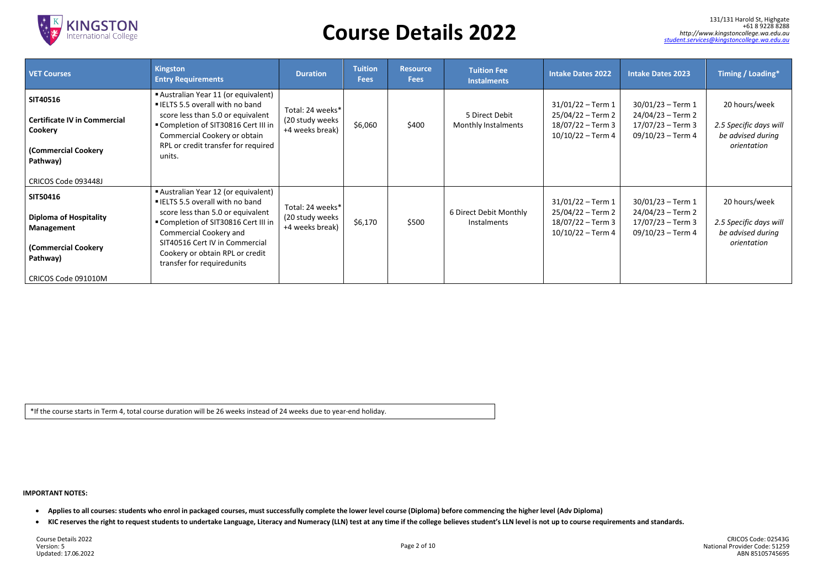

#### **IMPORTANT NOTES:**

- Applies to all courses: students who enrol in packaged courses, must successfully complete the lower level course (Diploma) before commencing the higher level (Adv Diploma)
- KIC reserves the right to request students to undertake Language, Literacy and Numeracy (LLN) test at any time if the college believes student's LLN level is not up to course requirements and standards.

Course Details 2022 Version: 5 Updated: 17.06.2022

131/131 Harold St, [Highgate](https://goo.gl/maps/xcR8P6MTyYL2) +61 8 9228 8288<br>http://www.kingstoncollege.wa.edu.au<br>student.services@kingstoncollege.wa.edu.au

| <b>VET Courses</b>                                                                                       | Kingston<br><b>Entry Requirements</b>                                                                                                                                                                                                                                            | <b>Duration</b>                                         | <b>Tuition</b><br><b>Fees</b> | <b>Resource</b><br><b>Fees</b> | <b>Tuition Fee</b><br><b>Instalments</b> | <b>Intake Dates 2022</b>                                                              | <b>Intake Dates 2023</b>                                                              | Timing / Loading*                                                           |
|----------------------------------------------------------------------------------------------------------|----------------------------------------------------------------------------------------------------------------------------------------------------------------------------------------------------------------------------------------------------------------------------------|---------------------------------------------------------|-------------------------------|--------------------------------|------------------------------------------|---------------------------------------------------------------------------------------|---------------------------------------------------------------------------------------|-----------------------------------------------------------------------------|
| SIT40516<br><b>Certificate IV in Commercial</b><br>Cookery<br><b>(Commercial Cookery</b><br>Pathway)     | Australian Year 11 (or equivalent)<br>■ IELTS 5.5 overall with no band<br>score less than 5.0 or equivalent<br>■ Completion of SIT30816 Cert III in<br>Commercial Cookery or obtain<br>RPL or credit transfer for required<br>units.                                             | Total: 24 weeks*<br>(20 study weeks)<br>+4 weeks break) | \$6,060                       | \$400                          | 5 Direct Debit<br>Monthly Instalments    | $31/01/22 - Term 1$<br>25/04/22 - Term 2<br>$18/07/22 - Term3$<br>$10/10/22$ – Term 4 | $30/01/23 - Term 1$<br>24/04/23 – Term 2<br>$17/07/23 - Term3$<br>$09/10/23 - Term 4$ | 20 hours/week<br>2.5 Specific days will<br>be advised during<br>orientation |
| CRICOS Code 093448J                                                                                      |                                                                                                                                                                                                                                                                                  |                                                         |                               |                                |                                          |                                                                                       |                                                                                       |                                                                             |
| <b>SIT50416</b><br><b>Diploma of Hospitality</b><br>Management<br><b>(Commercial Cookery</b><br>Pathway) | Australian Year 12 (or equivalent)<br>■ IELTS 5.5 overall with no band<br>score less than 5.0 or equivalent<br>■ Completion of SIT30816 Cert III in<br>Commercial Cookery and<br>SIT40516 Cert IV in Commercial<br>Cookery or obtain RPL or credit<br>transfer for requiredunits | Total: 24 weeks*<br>(20 study weeks<br>+4 weeks break)  | \$6,170                       | \$500                          | 6 Direct Debit Monthly<br>Instalments    | $31/01/22$ – Term 1<br>25/04/22 – Term 2<br>18/07/22 - Term 3<br>$10/10/22$ – Term 4  | $30/01/23 - Term 1$<br>24/04/23 – Term 2<br>17/07/23 – Term 3<br>$09/10/23 - Term 4$  | 20 hours/week<br>2.5 Specific days will<br>be advised during<br>orientation |
| CRICOS Code 091010M                                                                                      |                                                                                                                                                                                                                                                                                  |                                                         |                               |                                |                                          |                                                                                       |                                                                                       |                                                                             |

\*If the course starts in Term 4, total course duration will be 26 weeks instead of 24 weeks due to year-end holiday.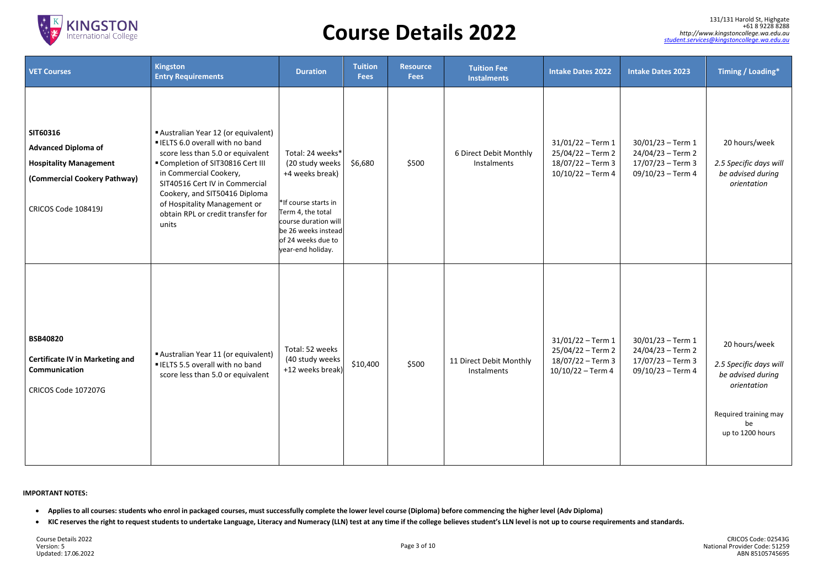

#### **IMPORTANT NOTES:**

- Applies to all courses: students who enrol in packaged courses, must successfully complete the lower level course (Diploma) before commencing the higher level (Adv Diploma)
- KIC reserves the right to request students to undertake Language, Literacy and Numeracy (LLN) test at any time if the college believes student's LLN level is not up to course requirements and standards.

| <b>VET Courses</b>                                                                                                             | <b>Kingston</b><br><b>Entry Requirements</b>                                                                                                                                                                                                                                                                                    | <b>Duration</b>                                                                                                                                                                                | <b>Tuition</b><br><b>Fees</b> | <b>Resource</b><br><b>Fees</b> | <b>Tuition Fee</b><br><b>Instalments</b> | <b>Intake Dates 2022</b>                                                             | <b>Intake Dates 2023</b>                                                              | Timing / Loading*                                                                                                              |
|--------------------------------------------------------------------------------------------------------------------------------|---------------------------------------------------------------------------------------------------------------------------------------------------------------------------------------------------------------------------------------------------------------------------------------------------------------------------------|------------------------------------------------------------------------------------------------------------------------------------------------------------------------------------------------|-------------------------------|--------------------------------|------------------------------------------|--------------------------------------------------------------------------------------|---------------------------------------------------------------------------------------|--------------------------------------------------------------------------------------------------------------------------------|
| SIT60316<br><b>Advanced Diploma of</b><br><b>Hospitality Management</b><br>(Commercial Cookery Pathway)<br>CRICOS Code 108419J | Australian Year 12 (or equivalent)<br><b>ELTS 6.0 overall with no band</b><br>score less than 5.0 or equivalent<br>■ Completion of SIT30816 Cert III<br>in Commercial Cookery,<br>SIT40516 Cert IV in Commercial<br>Cookery, and SIT50416 Diploma<br>of Hospitality Management or<br>obtain RPL or credit transfer for<br>units | Total: 24 weeks*<br>(20 study weeks)<br>+4 weeks break)<br>*If course starts in<br>Term 4, the total<br>course duration will<br>be 26 weeks instead<br>of 24 weeks due to<br>year-end holiday. | \$6,680                       | \$500                          | 6 Direct Debit Monthly<br>Instalments    | $31/01/22$ – Term 1<br>25/04/22 – Term 2<br>18/07/22 - Term 3<br>$10/10/22$ – Term 4 | $30/01/23 - Term 1$<br>24/04/23 - Term 2<br>$17/07/23 - Term3$<br>09/10/23 - Term 4   | 20 hours/week<br>2.5 Specific days will<br>be advised during<br>orientation                                                    |
| <b>BSB40820</b><br><b>Certificate IV in Marketing and</b><br>Communication<br>CRICOS Code 107207G                              | Australian Year 11 (or equivalent)<br><b>ELTS 5.5 overall with no band</b><br>score less than 5.0 or equivalent                                                                                                                                                                                                                 | Total: 52 weeks<br>(40 study weeks<br>+12 weeks break)                                                                                                                                         | \$10,400                      | \$500                          | 11 Direct Debit Monthly<br>Instalments   | $31/01/22$ – Term 1<br>25/04/22 - Term 2<br>18/07/22 - Term 3<br>$10/10/22 - Term 4$ | $30/01/23 - Term 1$<br>24/04/23 - Term 2<br>$17/07/23 - Term3$<br>$09/10/23$ – Term 4 | 20 hours/week<br>2.5 Specific days will<br>be advised during<br>orientation<br>Required training may<br>be<br>up to 1200 hours |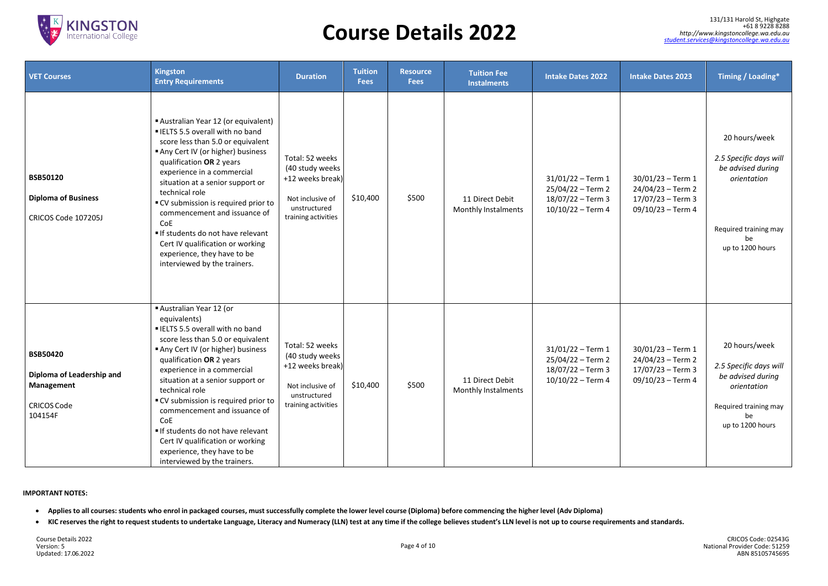

#### **IMPORTANT NOTES:**

- Applies to all courses: students who enrol in packaged courses, must successfully complete the lower level course (Diploma) before commencing the higher level (Adv Diploma)
- KIC reserves the right to request students to undertake Language, Literacy and Numeracy (LLN) test at any time if the college believes student's LLN level is not up to course requirements and standards.

| <b>VET Courses</b>                                                                          | <b>Kingston</b><br><b>Entry Requirements</b>                                                                                                                                                                                                                                                                                                                                                                                                                                                  | <b>Duration</b>                                                                                                   | <b>Tuition</b><br><b>Fees</b> | <b>Resource</b><br><b>Fees</b> | <b>Tuition Fee</b><br><b>Instalments</b> | <b>Intake Dates 2022</b>                                                               | <b>Intake Dates 2023</b>                                                                | Timing / Loading*                                                                                                              |
|---------------------------------------------------------------------------------------------|-----------------------------------------------------------------------------------------------------------------------------------------------------------------------------------------------------------------------------------------------------------------------------------------------------------------------------------------------------------------------------------------------------------------------------------------------------------------------------------------------|-------------------------------------------------------------------------------------------------------------------|-------------------------------|--------------------------------|------------------------------------------|----------------------------------------------------------------------------------------|-----------------------------------------------------------------------------------------|--------------------------------------------------------------------------------------------------------------------------------|
| <b>BSB50120</b><br><b>Diploma of Business</b><br>CRICOS Code 107205J                        | Australian Year 12 (or equivalent)<br><b>ELTS 5.5 overall with no band</b><br>score less than 5.0 or equivalent<br>Any Cert IV (or higher) business<br>qualification OR 2 years<br>experience in a commercial<br>situation at a senior support or<br>technical role<br>■ CV submission is required prior to<br>commencement and issuance of<br>CoE<br>If students do not have relevant<br>Cert IV qualification or working<br>experience, they have to be<br>interviewed by the trainers.     | Total: 52 weeks<br>(40 study weeks<br>+12 weeks break)<br>Not inclusive of<br>unstructured<br>training activities | \$10,400                      | \$500                          | 11 Direct Debit<br>Monthly Instalments   | $31/01/22 - Term 1$<br>$25/04/22 - Term 2$<br>18/07/22 - Term 3<br>$10/10/22 - Term 4$ | $30/01/23 - Term 1$<br>$24/04/23 - Term 2$<br>$17/07/23 - Term3$<br>$09/10/23 - Term 4$ | 20 hours/week<br>2.5 Specific days will<br>be advised during<br>orientation<br>Required training may<br>be<br>up to 1200 hours |
| <b>BSB50420</b><br>Diploma of Leadership and<br>Management<br><b>CRICOS Code</b><br>104154F | Australian Year 12 (or<br>equivalents)<br><b>ELTS 5.5 overall with no band</b><br>score less than 5.0 or equivalent<br>Any Cert IV (or higher) business<br>qualification OR 2 years<br>experience in a commercial<br>situation at a senior support or<br>technical role<br>■ CV submission is required prior to<br>commencement and issuance of<br>CoE<br>If students do not have relevant<br>Cert IV qualification or working<br>experience, they have to be<br>interviewed by the trainers. | Total: 52 weeks<br>(40 study weeks<br>+12 weeks break)<br>Not inclusive of<br>unstructured<br>training activities | \$10,400                      | \$500                          | 11 Direct Debit<br>Monthly Instalments   | $31/01/22$ – Term 1<br>$25/04/22 - Term 2$<br>18/07/22 – Term 3<br>$10/10/22$ – Term 4 | $30/01/23 - Term 1$<br>$24/04/23 - Term 2$<br>$17/07/23 - Term3$<br>09/10/23 - Term 4   | 20 hours/week<br>2.5 Specific days will<br>be advised during<br>orientation<br>Required training may<br>be<br>up to 1200 hours |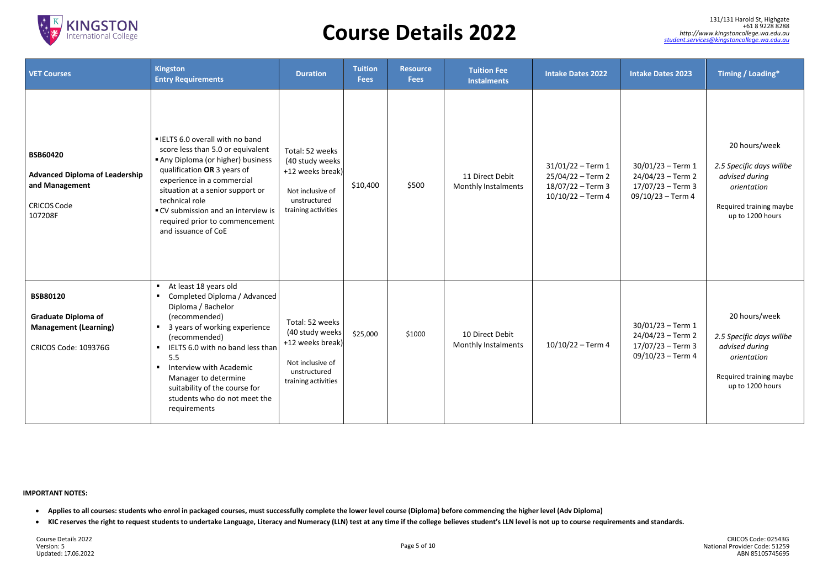

#### **IMPORTANT NOTES:**

- Applies to all courses: students who enrol in packaged courses, must successfully complete the lower level course (Diploma) before commencing the higher level (Adv Diploma)
- KIC reserves the right to request students to undertake Language, Literacy and Numeracy (LLN) test at any time if the college believes student's LLN level is not up to course requirements and standards.

| <b>VET Courses</b>                                                                                          | <b>Kingston</b><br><b>Entry Requirements</b>                                                                                                                                                                                                                                                                                                                                                                            | <b>Duration</b>                                                                                                   | <b>Tuition</b><br><b>Fees</b> | <b>Resource</b><br><b>Fees</b> | <b>Tuition Fee</b><br><b>Instalments</b> | <b>Intake Dates 2022</b>                                                              | <b>Intake Dates 2023</b>                                                                | <b>Timing / Loading*</b>                                                                                                  |
|-------------------------------------------------------------------------------------------------------------|-------------------------------------------------------------------------------------------------------------------------------------------------------------------------------------------------------------------------------------------------------------------------------------------------------------------------------------------------------------------------------------------------------------------------|-------------------------------------------------------------------------------------------------------------------|-------------------------------|--------------------------------|------------------------------------------|---------------------------------------------------------------------------------------|-----------------------------------------------------------------------------------------|---------------------------------------------------------------------------------------------------------------------------|
| <b>BSB60420</b><br><b>Advanced Diploma of Leadership</b><br>and Management<br><b>CRICOS Code</b><br>107208F | ■ IELTS 6.0 overall with no band<br>score less than 5.0 or equivalent<br>Any Diploma (or higher) business<br>qualification OR 3 years of<br>experience in a commercial<br>situation at a senior support or<br>technical role<br>■ CV submission and an interview is<br>required prior to commencement<br>and issuance of CoE                                                                                            | Total: 52 weeks<br>(40 study weeks<br>+12 weeks break)<br>Not inclusive of<br>unstructured<br>training activities | \$10,400                      | \$500                          | 11 Direct Debit<br>Monthly Instalments   | $31/01/22 - Term 1$<br>25/04/22 - Term 2<br>$18/07/22 - Term3$<br>$10/10/22 - Term 4$ | $30/01/23 - Term 1$<br>$24/04/23 - Term 2$<br>$17/07/23 - Term3$<br>$09/10/23 - Term 4$ | 20 hours/week<br>2.5 Specific days willbe<br>advised during<br>orientation<br>Required training maybe<br>up to 1200 hours |
| <b>BSB80120</b><br><b>Graduate Diploma of</b><br><b>Management (Learning)</b><br>CRICOS Code: 109376G       | At least 18 years old<br>$\blacksquare$<br>Completed Diploma / Advanced<br>$\blacksquare$<br>Diploma / Bachelor<br>(recommended)<br>3 years of working experience<br>$\blacksquare$<br>(recommended)<br>IELTS 6.0 with no band less than<br>$\blacksquare$<br>5.5<br>Interview with Academic<br>$\blacksquare$<br>Manager to determine<br>suitability of the course for<br>students who do not meet the<br>requirements | Total: 52 weeks<br>(40 study weeks<br>+12 weeks break)<br>Not inclusive of<br>unstructured<br>training activities | \$25,000                      | \$1000                         | 10 Direct Debit<br>Monthly Instalments   | $10/10/22 - Term 4$                                                                   | $30/01/23 - Term 1$<br>$24/04/23 - Term 2$<br>$17/07/23 - Term3$<br>$09/10/23 - Term 4$ | 20 hours/week<br>2.5 Specific days willbe<br>advised during<br>orientation<br>Required training maybe<br>up to 1200 hours |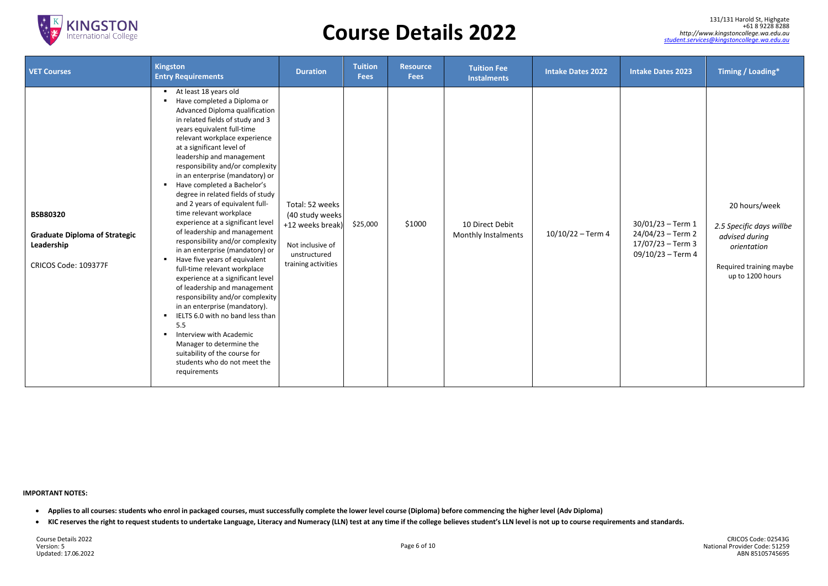

#### **IMPORTANT NOTES:**

- Applies to all courses: students who enrol in packaged courses, must successfully complete the lower level course (Diploma) before commencing the higher level (Adv Diploma)
- KIC reserves the right to request students to undertake Language, Literacy and Numeracy (LLN) test at any time if the college believes student's LLN level is not up to course requirements and standards.

Course Details 2022 Version: 5 Updated: 17.06.2022

| <b>VET Courses</b>                                                                            | <b>Kingston</b><br><b>Entry Requirements</b>                                                                                                                                                                                                                                                                                                                                                                                                                                                                                                                                                                                                                                                                                                                                                                                                                                                                                                                                                                                                                                   | <b>Duration</b>                                                                                                    | <b>Tuition</b><br><b>Fees</b> | <b>Resource</b><br><b>Fees</b> | <b>Tuition Fee</b><br><b>Instalments</b> | <b>Intake Dates 2022</b> | <b>Intake Dates 2023</b>                                                              | Timing / Loading*                                                                                                         |
|-----------------------------------------------------------------------------------------------|--------------------------------------------------------------------------------------------------------------------------------------------------------------------------------------------------------------------------------------------------------------------------------------------------------------------------------------------------------------------------------------------------------------------------------------------------------------------------------------------------------------------------------------------------------------------------------------------------------------------------------------------------------------------------------------------------------------------------------------------------------------------------------------------------------------------------------------------------------------------------------------------------------------------------------------------------------------------------------------------------------------------------------------------------------------------------------|--------------------------------------------------------------------------------------------------------------------|-------------------------------|--------------------------------|------------------------------------------|--------------------------|---------------------------------------------------------------------------------------|---------------------------------------------------------------------------------------------------------------------------|
| <b>BSB80320</b><br><b>Graduate Diploma of Strategic</b><br>Leadership<br>CRICOS Code: 109377F | At least 18 years old<br>$\blacksquare$<br>Have completed a Diploma or<br>Advanced Diploma qualification<br>in related fields of study and 3<br>years equivalent full-time<br>relevant workplace experience<br>at a significant level of<br>leadership and management<br>responsibility and/or complexity<br>in an enterprise (mandatory) or<br>Have completed a Bachelor's<br>$\blacksquare$<br>degree in related fields of study<br>and 2 years of equivalent full-<br>time relevant workplace<br>experience at a significant level<br>of leadership and management<br>responsibility and/or complexity<br>in an enterprise (mandatory) or<br>Have five years of equivalent<br>full-time relevant workplace<br>experience at a significant level<br>of leadership and management<br>responsibility and/or complexity<br>in an enterprise (mandatory).<br>IELTS 6.0 with no band less than<br>$\blacksquare$<br>5.5<br>Interview with Academic<br>$\blacksquare$<br>Manager to determine the<br>suitability of the course for<br>students who do not meet the<br>requirements | Total: 52 weeks<br>(40 study weeks)<br>+12 weeks break)<br>Not inclusive of<br>unstructured<br>training activities | \$25,000                      | \$1000                         | 10 Direct Debit<br>Monthly Instalments   | $10/10/22 - Term4$       | $30/01/23 - Term 1$<br>24/04/23 - Term 2<br>$17/07/23 - Term3$<br>$09/10/23 - Term 4$ | 20 hours/week<br>2.5 Specific days willbe<br>advised during<br>orientation<br>Required training maybe<br>up to 1200 hours |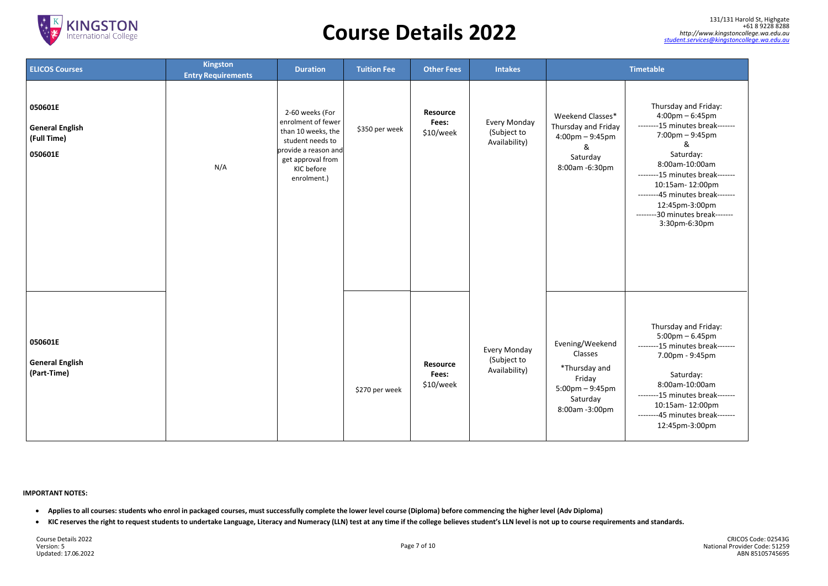

# *[http://www.kingstoncollege.wa.edu.au](http://www.kingstoncollege.wa.edu.au/)* **Course Details 2022** *[student.services@kingstoncollege.wa.edu.au](mailto:student.services@kingstoncollege.wa.edu.au)*

#### **IMPORTANT NOTES:**

- Applies to all courses: students who enrol in packaged courses, must successfully complete the lower level course (Diploma) before commencing the higher level (Adv Diploma)
- KIC reserves the right to request students to undertake Language, Literacy and Numeracy (LLN) test at any time if the college believes student's LLN level is not up to course requirements and standards.

CRICOS Code: 02543G National Provider Code: 51259 ABN 85105745695

131/131 Harold St, [Highgate](https://goo.gl/maps/xcR8P6MTyYL2) +61 8 9228 8288<br>http://www.kingstoncollege.wa.edu.au<br>student.services@kingstoncollege.wa.edu.au

| <b>ELICOS Courses</b>                                       | <b>Kingston</b><br><b>Entry Requirements</b> | <b>Duration</b>                                                                                                                                           | <b>Tuition Fee</b> | <b>Other Fees</b>                     | <b>Intakes</b>                               |                                                                                                                 | <b>Timetable</b>                                                                               |
|-------------------------------------------------------------|----------------------------------------------|-----------------------------------------------------------------------------------------------------------------------------------------------------------|--------------------|---------------------------------------|----------------------------------------------|-----------------------------------------------------------------------------------------------------------------|------------------------------------------------------------------------------------------------|
| 050601E<br><b>General English</b><br>(Full Time)<br>050601E | N/A                                          | 2-60 weeks (For<br>enrolment of fewer<br>than 10 weeks, the<br>student needs to<br>provide a reason and<br>get approval from<br>KIC before<br>enrolment.) | \$350 per week     | Resource<br>Fees:<br>\$10/week        | Every Monday<br>(Subject to<br>Availability) | Weekend Classes*<br>Thursday and Friday<br>$4:00 \text{pm} - 9:45 \text{pm}$<br>&<br>Saturday<br>8:00am -6:30pm | Thu<br>4:<br>--------1!<br>7:<br>8:<br>---------1!<br>10 <sub>1</sub><br>12<br>--------30<br>3 |
| 050601E<br><b>General English</b><br>(Part-Time)            |                                              |                                                                                                                                                           | \$270 per week     | <b>Resource</b><br>Fees:<br>\$10/week | Every Monday<br>(Subject to<br>Availability) | Evening/Weekend<br>Classes<br>*Thursday and<br>Friday<br>$5:00$ pm $-9:45$ pm<br>Saturday<br>8:00am -3:00pm     | Thu<br>5:<br>--------1!<br>7.<br>8:<br>--------1!<br>10<br>--------4!<br>12                    |

Thursday and Friday: 4:00pm – 6:45pm --------15 minutes break------- 7:00pm – 9:45pm & Saturday: 8:00am-10:00am --------15 minutes break------- 10:15am- 12:00pm --------45 minutes break------- 12:45pm-3:00pm --------30 minutes break------- 3:30pm-6:30pm

Thursday and Friday: 5:00pm – 6.45pm --------15 minutes break------- 7.00pm - 9:45pm

Saturday: 8:00am-10:00am --------15 minutes break------- 10:15am- 12:00pm --------45 minutes break------- 12:45pm-3:00pm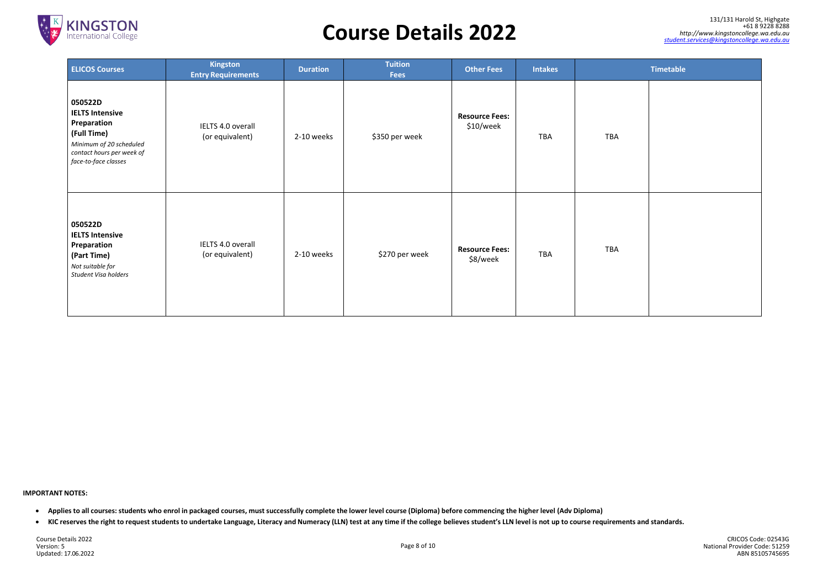

#### **IMPORTANT NOTES:**

- Applies to all courses: students who enrol in packaged courses, must successfully complete the lower level course (Diploma) before commencing the higher level (Adv Diploma)
- KIC reserves the right to request students to undertake Language, Literacy and Numeracy (LLN) test at any time if the college believes student's LLN level is not up to course requirements and standards.

Course Details 2022 Version: 5 Updated: 17.06.2022

| <b>Timetable</b> |
|------------------|
|                  |
|                  |
|                  |
|                  |
|                  |
|                  |
|                  |
|                  |
|                  |
|                  |
|                  |

| <b>ELICOS Courses</b>                                                                                                                           | <b>Kingston</b><br><b>Entry Requirements</b> | <b>Duration</b> | <b>Tuition</b><br><b>Fees</b> | <b>Other Fees</b>                  | <b>Intakes</b> |            | <b>Timetable</b> |
|-------------------------------------------------------------------------------------------------------------------------------------------------|----------------------------------------------|-----------------|-------------------------------|------------------------------------|----------------|------------|------------------|
| 050522D<br><b>IELTS Intensive</b><br>Preparation<br>(Full Time)<br>Minimum of 20 scheduled<br>contact hours per week of<br>face-to-face classes | IELTS 4.0 overall<br>(or equivalent)         | 2-10 weeks      | \$350 per week                | <b>Resource Fees:</b><br>\$10/week | <b>TBA</b>     | <b>TBA</b> |                  |
| 050522D<br><b>IELTS Intensive</b><br>Preparation<br>(Part Time)<br>Not suitable for<br>Student Visa holders                                     | IELTS 4.0 overall<br>(or equivalent)         | 2-10 weeks      | \$270 per week                | <b>Resource Fees:</b><br>\$8/week  | <b>TBA</b>     | <b>TBA</b> |                  |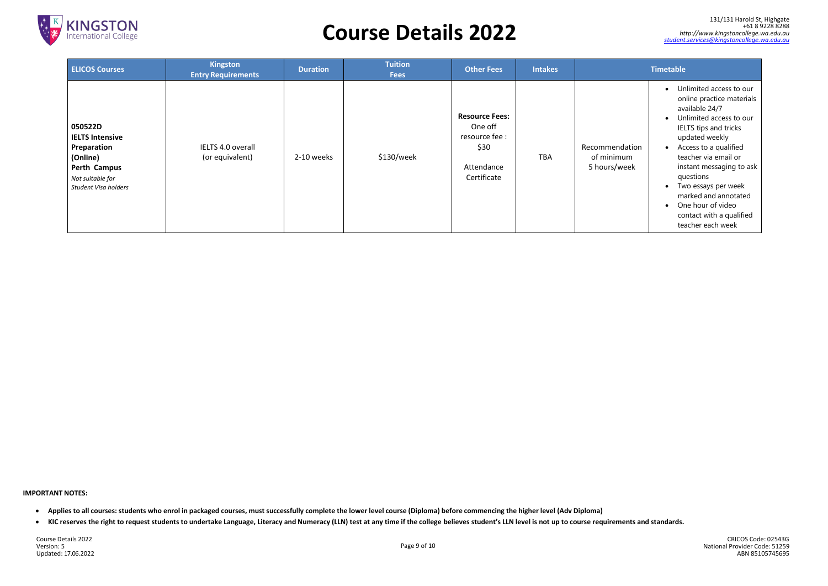

#### **IMPORTANT NOTES:**

- Applies to all courses: students who enrol in packaged courses, must successfully complete the lower level course (Diploma) before commencing the higher level (Adv Diploma)
- KIC reserves the right to request students to undertake Language, Literacy and Numeracy (LLN) test at any time if the college believes student's LLN level is not up to course requirements and standards.

Course Details 2022 Version: 5 Updated: 17.06.2022

|                    | <b>Timetable</b>                                                                                                                                                                                                                                                                                                                                                   |
|--------------------|--------------------------------------------------------------------------------------------------------------------------------------------------------------------------------------------------------------------------------------------------------------------------------------------------------------------------------------------------------------------|
| ation<br>ım<br>eek | Unlimited access to our<br>online practice materials<br>available 24/7<br>Unlimited access to our<br><b>IELTS</b> tips and tricks<br>updated weekly<br>Access to a qualified<br>teacher via email or<br>instant messaging to ask<br>questions<br>Two essays per week<br>marked and annotated<br>One hour of video<br>contact with a qualified<br>teacher each week |

| <b>ELICOS Courses</b>                                                                                                           | <b>Kingston</b><br><b>Entry Requirements</b> | <b>Duration</b> | <b>Tuition</b><br><b>Fees</b> | <b>Other Fees</b>                                                                       | <b>Intakes</b> |                                              | <b>Timetable</b>                                                                                                                               |
|---------------------------------------------------------------------------------------------------------------------------------|----------------------------------------------|-----------------|-------------------------------|-----------------------------------------------------------------------------------------|----------------|----------------------------------------------|------------------------------------------------------------------------------------------------------------------------------------------------|
| 050522D<br><b>IELTS Intensive</b><br>Preparation<br>(Online)<br><b>Perth Campus</b><br>Not suitable for<br>Student Visa holders | IELTS 4.0 overall<br>(or equivalent)         | 2-10 weeks      | \$130/week                    | <b>Resource Fees:</b><br>One off<br>resource fee :<br>\$30<br>Attendance<br>Certificate | <b>TBA</b>     | Recommendation<br>of minimum<br>5 hours/week | $\bullet$ Ur<br>on<br>av<br>$\bullet$ Ur<br>IEI<br>up<br>Ac<br>$\bullet$<br>tea<br>ins<br>qu<br>$\bullet$ Tw<br>m<br>$\bullet$ Or<br>CO<br>tea |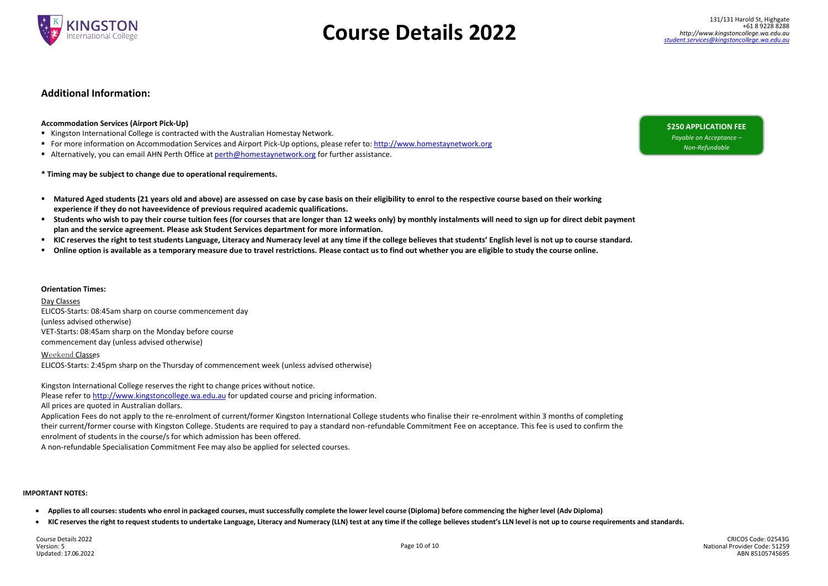131/131 Harold St, [Highgate](https://goo.gl/maps/xcR8P6MTyYL2) +61 8 9228 8288



# *[http://www.kingstoncollege.wa.edu.au](http://www.kingstoncollege.wa.edu.au/)* **Course Details 2022** *[student.services@kingstoncollege.wa.edu.au](mailto:student.services@kingstoncollege.wa.edu.au)*

#### **IMPORTANT NOTES:**

- Applies to all courses: students who enrol in packaged courses, must successfully complete the lower level course (Diploma) before commencing the higher level (Adv Diploma)
- KIC reserves the right to request students to undertake Language, Literacy and Numeracy (LLN) test at any time if the college believes student's LLN level is not up to course requirements and standards.

CRICOS Code: 02543G National Provider Code: 51259 ABN 85105745695

### **Additional Information:**

### **Accommodation Services (Airport Pick-Up)**

- Kingston International College is contracted with the Australian Homestay Network.
- For more information on Accommodation Services and Airport Pick-Up options, please refer to: [http://www.homestaynetwork.org](http://www.homestaynetwork.org/)
- Alternatively, you can email AHN Perth Office at [perth@homestaynetwork.org](mailto:perth@homestaynetwork.org) for further assistance.

### **\* Timing may be subject to change due to operational requirements.**

- **Matured Aged students (21 years old and above) are assessed on case by case basis on their eligibility to enrol to the respective course based on their working experience if they do not haveevidence of previous required academic qualifications.**
- Students who wish to pay their course tuition fees (for courses that are longer than 12 weeks only) by monthly instalments will need to sign up for direct debit payment **plan and the service agreement. Please ask Student Services department for more information.**
- " KIC reserves the right to test students Language, Literacy and Numeracy level at any time if the college believes that students' English level is not up to course standard.
- **Online option is available as a temporary measure due to travel restrictions. Please contact us to find out whether you are eligible to study the course online.**

#### **Orientation Times:**

#### Day Classes

ELICOS-Starts: 08:45am sharp on course commencement day (unless advised otherwise) VET-Starts: 08:45am sharp on the Monday before course commencement day (unless advised otherwise)

#### Weekend Classes

ELICOS-Starts: 2:45pm sharp on the Thursday of commencement week (unless advised otherwise)

Kingston International College reserves the right to change prices without notice.

Please refer to [http://www.kingstoncollege.wa.edu.au f](http://www.kingstoncollege.wa.edu.au/)or updated course and pricing information.

All prices are quoted in Australian dollars.

Application Fees do not apply to the re-enrolment of current/former Kingston International College students who finalise their re-enrolment within 3 months of completing their current/former course with Kingston College. Students are required to pay a standard non-refundable Commitment Fee on acceptance. This fee is used to confirm the enrolment of students in the course/s for which admission has been offered.

A non-refundable Specialisation Commitment Fee may also be applied for selected courses.

### **\$250 APPLICATION FEE**

*Payable on Acceptance – Non-Refundable*